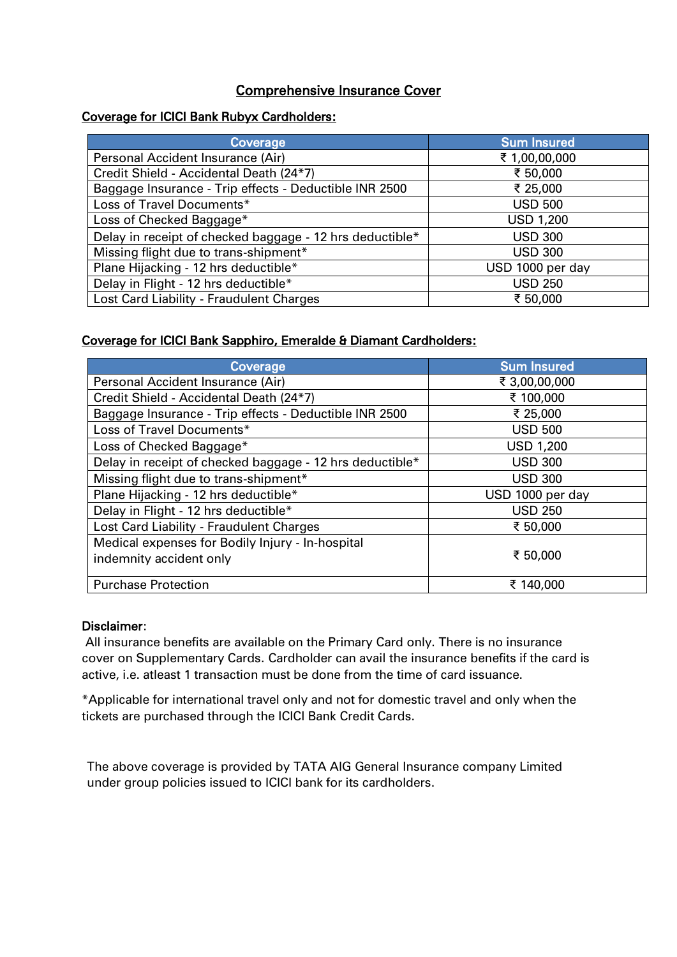# Comprehensive Insurance Cover

## Coverage for ICICI Bank Rubyx Cardholders:

| Coverage                                                 | <b>Sum Insured</b> |
|----------------------------------------------------------|--------------------|
| Personal Accident Insurance (Air)                        | ₹ 1,00,00,000      |
| Credit Shield - Accidental Death (24*7)                  | ₹ 50,000           |
| Baggage Insurance - Trip effects - Deductible INR 2500   | ₹ 25,000           |
| Loss of Travel Documents*                                | <b>USD 500</b>     |
| Loss of Checked Baggage*                                 | <b>USD 1,200</b>   |
| Delay in receipt of checked baggage - 12 hrs deductible* | <b>USD 300</b>     |
| Missing flight due to trans-shipment*                    | <b>USD 300</b>     |
| Plane Hijacking - 12 hrs deductible*                     | USD 1000 per day   |
| Delay in Flight - 12 hrs deductible*                     | <b>USD 250</b>     |
| Lost Card Liability - Fraudulent Charges                 | ₹ 50,000           |

## Coverage for ICICI Bank Sapphiro, Emeralde & Diamant Cardholders:

| Coverage                                                 | <b>Sum Insured</b> |  |  |
|----------------------------------------------------------|--------------------|--|--|
| Personal Accident Insurance (Air)                        | ₹ 3,00,00,000      |  |  |
| Credit Shield - Accidental Death (24*7)                  | ₹ 100,000          |  |  |
| Baggage Insurance - Trip effects - Deductible INR 2500   | ₹ 25,000           |  |  |
| Loss of Travel Documents*                                | <b>USD 500</b>     |  |  |
| Loss of Checked Baggage*                                 | <b>USD 1,200</b>   |  |  |
| Delay in receipt of checked baggage - 12 hrs deductible* | <b>USD 300</b>     |  |  |
| Missing flight due to trans-shipment*                    | <b>USD 300</b>     |  |  |
| Plane Hijacking - 12 hrs deductible*                     | USD 1000 per day   |  |  |
| Delay in Flight - 12 hrs deductible*                     | <b>USD 250</b>     |  |  |
| Lost Card Liability - Fraudulent Charges                 | ₹ 50,000           |  |  |
| Medical expenses for Bodily Injury - In-hospital         |                    |  |  |
| indemnity accident only                                  | ₹ 50,000           |  |  |
| <b>Purchase Protection</b>                               | ₹ 140,000          |  |  |

#### Disclaimer:

All insurance benefits are available on the Primary Card only. There is no insurance cover on Supplementary Cards. Cardholder can avail the insurance benefits if the card is active, i.e. atleast 1 transaction must be done from the time of card issuance.

\*Applicable for international travel only and not for domestic travel and only when the tickets are purchased through the ICICI Bank Credit Cards.

The above coverage is provided by TATA AIG General Insurance company Limited under group policies issued to ICICI bank for its cardholders.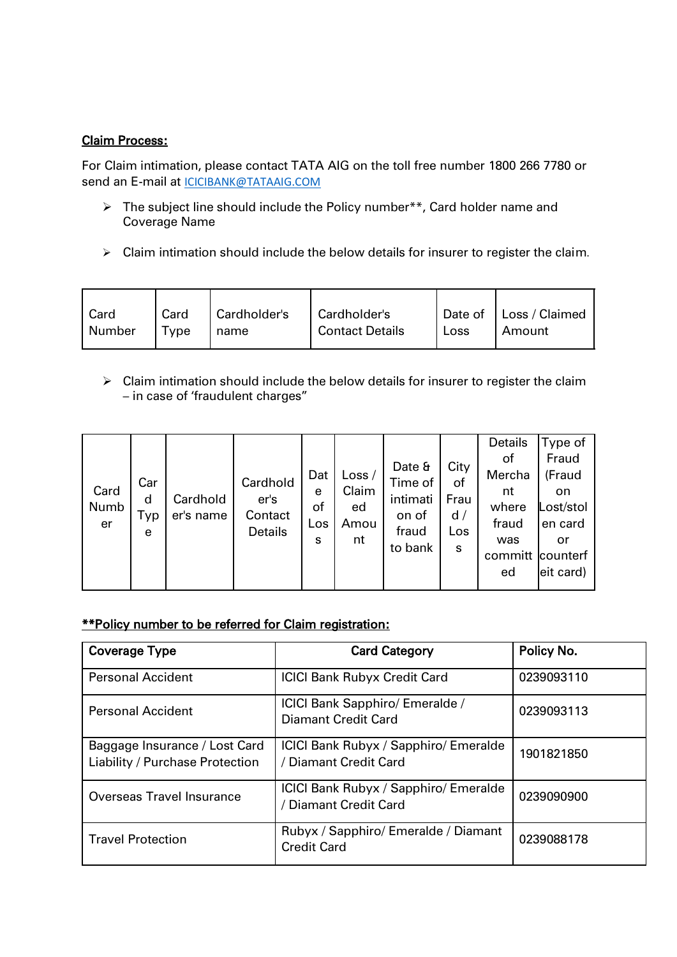### Claim Process:

For Claim intimation, please contact TATA AIG on the toll free number 1800 266 7780 or send an E-mail at [ICICIBANK@TATAAIG.COM](mailto:ICICIBANK@TATAAIG.COM)

- > The subject line should include the Policy number\*\*, Card holder name and Coverage Name
- $\triangleright$  Claim intimation should include the below details for insurer to register the claim.

| Card   | Card   | Cardholder's | Cardholder's           |      | Date of   Loss / Claimed |
|--------|--------|--------------|------------------------|------|--------------------------|
| Number | I Type | name         | <b>Contact Details</b> | Loss | Amount                   |
|        |        |              |                        |      |                          |

 $\triangleright$  Claim intimation should include the below details for insurer to register the claim – in case of 'fraudulent charges"

|            |               |                       |                                   |                |                   |                                       |                        | Details                          | Type of                                             |
|------------|---------------|-----------------------|-----------------------------------|----------------|-------------------|---------------------------------------|------------------------|----------------------------------|-----------------------------------------------------|
| Card       | Car           |                       | Cardhold                          | Dat<br>e       | Loss $/$<br>Claim | Date &<br>Time of                     | City<br>οf             | οf<br>Mercha<br>nt               | Fraud<br>(Fraud<br>on                               |
| Numb<br>er | d<br>Тур<br>e | Cardhold<br>er's name | er's<br>Contact<br><b>Details</b> | of<br>Los<br>s | ed<br>Amou<br>nt  | intimati<br>on of<br>fraud<br>to bank | Frau<br>d/<br>Los<br>S | where<br>fraud<br>was<br>committ | Lost/stol<br>en card<br>or<br>counterf<br>eit card) |
|            |               |                       |                                   |                |                   |                                       |                        | ed                               |                                                     |

# \*\*Policy number to be referred for Claim registration:

| <b>Coverage Type</b>                                             | <b>Card Category</b>                                           | Policy No. |
|------------------------------------------------------------------|----------------------------------------------------------------|------------|
| <b>Personal Accident</b>                                         | <b>ICICI Bank Rubyx Credit Card</b>                            | 0239093110 |
| <b>Personal Accident</b>                                         | ICICI Bank Sapphiro/ Emeralde /<br><b>Diamant Credit Card</b>  | 0239093113 |
| Baggage Insurance / Lost Card<br>Liability / Purchase Protection | ICICI Bank Rubyx / Sapphiro/ Emeralde<br>/ Diamant Credit Card | 1901821850 |
| Overseas Travel Insurance                                        | ICICI Bank Rubyx / Sapphiro/ Emeralde<br>/ Diamant Credit Card | 0239090900 |
| <b>Travel Protection</b>                                         | Rubyx / Sapphiro/ Emeralde / Diamant<br><b>Credit Card</b>     | 0239088178 |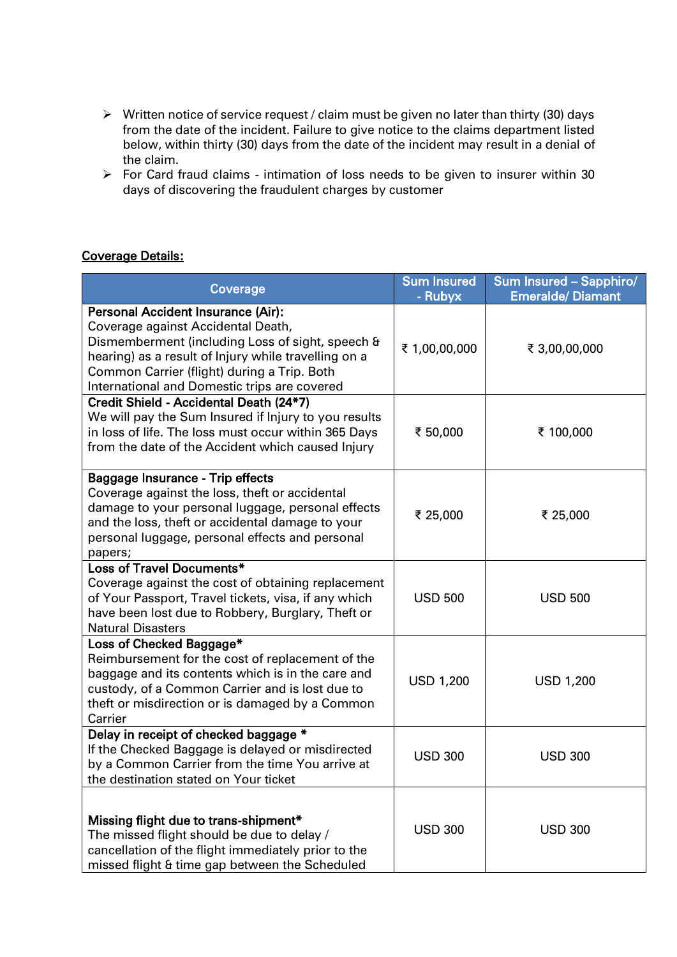- Written notice of service request / claim must be given no later than thirty (30) days from the date of the incident. Failure to give notice to the claims department listed below, within thirty (30) days from the date of the incident may result in a denial of the claim.
- For Card fraud claims intimation of loss needs to be given to insurer within 30 days of discovering the fraudulent charges by customer

### Coverage Details:

| Coverage                                                                                                                                                                                                                                                                                   | <b>Sum Insured</b><br>- Rubyx | Sum Insured - Sapphiro/<br><b>Emeralde/Diamant</b> |
|--------------------------------------------------------------------------------------------------------------------------------------------------------------------------------------------------------------------------------------------------------------------------------------------|-------------------------------|----------------------------------------------------|
| <b>Personal Accident Insurance (Air):</b><br>Coverage against Accidental Death,<br>Dismemberment (including Loss of sight, speech &<br>hearing) as a result of Injury while travelling on a<br>Common Carrier (flight) during a Trip. Both<br>International and Domestic trips are covered | ₹ 1,00,00,000                 | ₹ 3,00,00,000                                      |
| Credit Shield - Accidental Death (24*7)<br>We will pay the Sum Insured if Injury to you results<br>in loss of life. The loss must occur within 365 Days<br>from the date of the Accident which caused Injury                                                                               | ₹ 50,000                      | ₹ 100,000                                          |
| Baggage Insurance - Trip effects<br>Coverage against the loss, theft or accidental<br>damage to your personal luggage, personal effects<br>and the loss, theft or accidental damage to your<br>personal luggage, personal effects and personal<br>papers;                                  | ₹ 25,000                      | ₹ 25,000                                           |
| Loss of Travel Documents*<br>Coverage against the cost of obtaining replacement<br>of Your Passport, Travel tickets, visa, if any which<br>have been lost due to Robbery, Burglary, Theft or<br><b>Natural Disasters</b>                                                                   | <b>USD 500</b>                | <b>USD 500</b>                                     |
| Loss of Checked Baggage*<br>Reimbursement for the cost of replacement of the<br>baggage and its contents which is in the care and<br>custody, of a Common Carrier and is lost due to<br>theft or misdirection or is damaged by a Common<br>Carrier                                         | <b>USD 1,200</b>              | <b>USD 1,200</b>                                   |
| Delay in receipt of checked baggage *<br>If the Checked Baggage is delayed or misdirected<br>by a Common Carrier from the time You arrive at<br>the destination stated on Your ticket                                                                                                      | <b>USD 300</b>                | <b>USD 300</b>                                     |
| Missing flight due to trans-shipment*<br>The missed flight should be due to delay /<br>cancellation of the flight immediately prior to the<br>missed flight & time gap between the Scheduled                                                                                               | <b>USD 300</b>                | <b>USD 300</b>                                     |